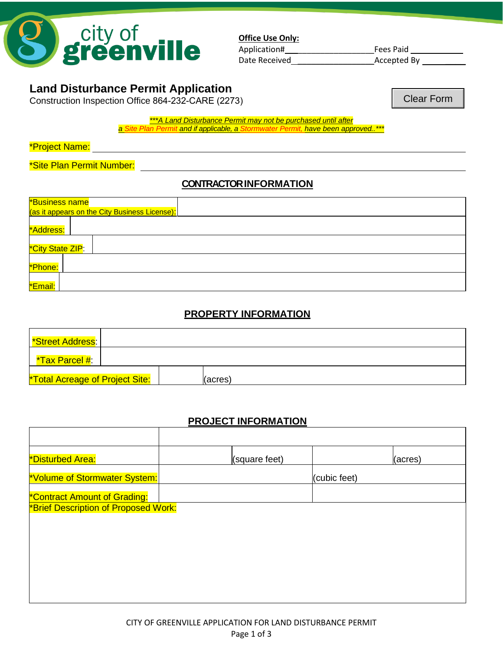

**Office Use Only:** Application# \_\_\_\_\_\_\_\_\_\_\_\_\_\_\_\_\_Fees Paid \_\_\_\_\_\_\_\_\_\_ Date Received \_\_\_\_\_\_\_\_\_\_\_\_\_\_\_\_\_Accepted By \_\_\_\_

# **Land Disturbance Permit Application**

Construction Inspection Office 864-232-CARE (2273)

Clear Form

*\*\*\*A Land Disturbance Permit may not be purchased until after a Site Plan Permit and if applicable, a Stormwater Permit, have been approved..\*\*\**

\*Project Name:

\*Site Plan Permit Number:

#### **CONTRACTOR INFORMATION**

| *Business name<br>(as it appears on the City Business License): |  |  |  |  |
|-----------------------------------------------------------------|--|--|--|--|
| *Address:                                                       |  |  |  |  |
| *City State ZIP:                                                |  |  |  |  |
| *Phone:                                                         |  |  |  |  |
| *Email:                                                         |  |  |  |  |

## **PROPERTY INFORMATION**

| Street Address:                        |  |         |
|----------------------------------------|--|---------|
| <u>*Tax Parcel #:</u>                  |  |         |
| <b>*Total Acreage of Project Site:</b> |  | (acres) |

## **PROJECT INFORMATION**

| *Disturbed Area:                     | (square feet) | (acres)      |
|--------------------------------------|---------------|--------------|
| *Volume of Stormwater System:        |               | (cubic feet) |
| <b>*Contract Amount of Grading:</b>  |               |              |
| *Brief Description of Proposed Work: |               |              |
|                                      |               |              |
|                                      |               |              |
|                                      |               |              |
|                                      |               |              |
|                                      |               |              |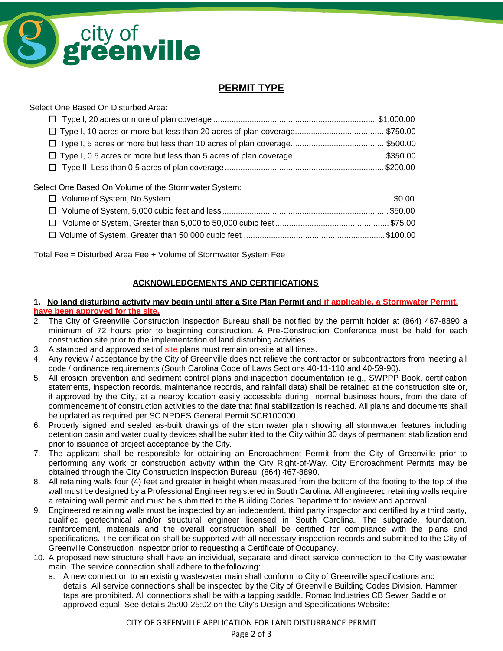

### **PERMIT TYPE**

Select One Based On Disturbed Area:

Select One Based On Volume of the Stormwater System:

Total Fee = Disturbed Area Fee + Volume of Stormwater System Fee

#### **ACKNOWLEDGEMENTS AND CERTIFICATIONS**

#### **1. No land disturbing activity may begin until after a Site Plan Permit and if applicable, a Stormwater Permit, have been approved for the site.**

- 2. The City of Greenville Construction Inspection Bureau shall be notified by the permit holder at (864) 467-8890 a minimum of 72 hours prior to beginning construction. A Pre-Construction Conference must be held for each construction site prior to the implementation of land disturbing activities.
- 3. A stamped and approved set of site plans must remain on-site at all times.
- 4. Any review / acceptance by the City of Greenville does not relieve the contractor or subcontractors from meeting all code / ordinance requirements (South Carolina Code of Laws Sections 40-11-110 and 40-59-90).
- 5. All erosion prevention and sediment control plans and inspection documentation (e.g., SWPPP Book, certification statements, inspection records, maintenance records, and rainfall data) shall be retained at the construction site or, if approved by the City, at a nearby location easily accessible during normal business hours, from the date of commencement of construction activities to the date that final stabilization is reached. All plans and documents shall be updated as required per SC NPDES General Permit SCR100000.
- 6. Properly signed and sealed as-built drawings of the stormwater plan showing all stormwater features including detention basin and water quality devices shall be submitted to the City within 30 days of permanent stabilization and prior to issuance of project acceptance by the City.
- 7. The applicant shall be responsible for obtaining an Encroachment Permit from the City of Greenville prior to performing any work or construction activity within the City Right-of-Way. City Encroachment Permits may be obtained through the City Construction Inspection Bureau: (864) 467-8890.
- 8. All retaining walls four (4) feet and greater in height when measured from the bottom of the footing to the top of the wall must be designed by a Professional Engineer registered in South Carolina. All engineered retaining walls require a retaining wall permit and must be submitted to the Building Codes Department for review and approval.
- 9. Engineered retaining walls must be inspected by an independent, third party inspector and certified by a third party, qualified geotechnical and/or structural engineer licensed in South Carolina. The subgrade, foundation, reinforcement, materials and the overall construction shall be certified for compliance with the plans and specifications. The certification shall be supported with all necessary inspection records and submitted to the City of Greenville Construction Inspector prior to requesting a Certificate of Occupancy.
- 10. A proposed new structure shall have an individual, separate and direct service connection to the City wastewater main. The service connection shall adhere to the following:
	- a. A new connection to an existing wastewater main shall conform to City of Greenville specifications and details. All service connections shall be inspected by the City of Greenville Building Codes Division. Hammer taps are prohibited. All connections shall be with a tapping saddle, Romac Industries CB Sewer Saddle or approved equal. See details 25:00-25:02 on the City's Design and Specifications Website: